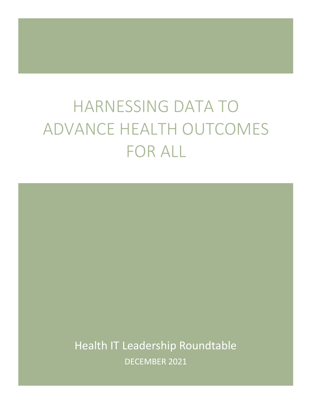# HARNESSING DATA TO ADVANCE HEALTH OUTCOMES FOR ALL

Health IT Leadership Roundtable DECEMBER 2021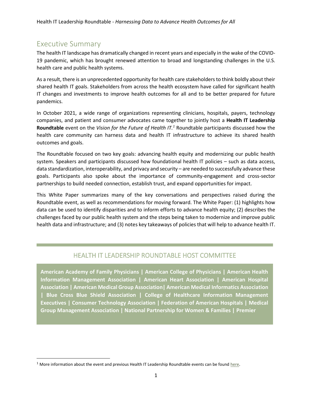# Executive Summary

The health IT landscape has dramatically changed in recent years and especially in the wake of the COVID-19 pandemic, which has brought renewed attention to broad and longstanding challenges in the U.S. health care and public health systems.

As a result, there is an unprecedented opportunity for health care stakeholders to think boldly about their shared health IT goals. Stakeholders from across the health ecosystem have called for significant health IT changes and investments to improve health outcomes for all and to be better prepared for future pandemics.

In October 2021, a wide range of organizations representing clinicians, hospitals, payers, technology companies, and patient and consumer advocates came together to jointly host a **Health IT Leadership Roundtable** event on the *Vision for the Future of Health IT.<sup>1</sup>* Roundtable participants discussed how the health care community can harness data and health IT infrastructure to achieve its shared health outcomes and goals.

The Roundtable focused on two key goals: advancing health equity and modernizing our public health system. Speakers and participants discussed how foundational health IT policies – such as data access, data standardization, interoperability, and privacy and security – are needed to successfully advance these goals. Participants also spoke about the importance of community-engagement and cross-sector partnerships to build needed connection, establish trust, and expand opportunities for impact.

This White Paper summarizes many of the key conversations and perspectives raised during the Roundtable event, as well as recommendations for moving forward. The White Paper: (1) highlights how data can be used to identify disparities and to inform efforts to advance health equity; (2) describes the challenges faced by our public health system and the steps being taken to modernize and improve public health data and infrastructure; and (3) notes key takeaways of policies that will help to advance health IT.

## HEALTH IT LEADERSHIP ROUNDTABLE HOST COMMITTEE

**American Academy of Family Physicians | American College of Physicians | American Health Information Management Association | American Heart Association | American Hospital Association | American Medical Group Association| American Medical Informatics Association | Blue Cross Blue Shield Association | College of Healthcare Information Management Executives | Consumer Technology Association | Federation of American Hospitals | Medical Group Management Association | National Partnership for Women & Families | Premier** 

 $1$  More information about the event and previous Health IT Leadership Roundtable events can be foun[d here](https://sironastrategies.com/health-it-leadership-roundtable-4-vision-for-the-future-of-health-it/).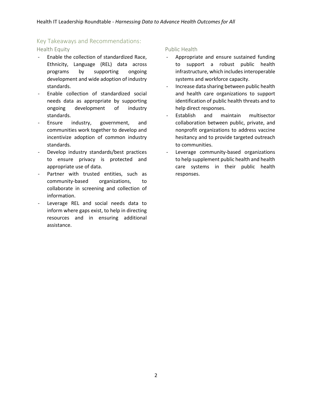### Key Takeaways and Recommendations:

#### Health Equity

- Enable the collection of standardized Race, Ethnicity, Language (REL) data across programs by supporting ongoing development and wide adoption of industry standards.
- Enable collection of standardized social needs data as appropriate by supporting ongoing development of industry standards.
- Ensure industry, government, and communities work together to develop and incentivize adoption of common industry standards.
- Develop industry standards/best practices to ensure privacy is protected and appropriate use of data.
- Partner with trusted entities, such as community-based organizations, to collaborate in screening and collection of information.
- Leverage REL and social needs data to inform where gaps exist, to help in directing resources and in ensuring additional assistance.

#### Public Health

- Appropriate and ensure sustained funding to support a robust public health infrastructure, which includes interoperable systems and workforce capacity.
- Increase data sharing between public health and health care organizations to support identification of public health threats and to help direct responses.
- Establish and maintain multisector collaboration between public, private, and nonprofit organizations to address vaccine hesitancy and to provide targeted outreach to communities.
- Leverage community-based organizations to help supplement public health and health care systems in their public health responses.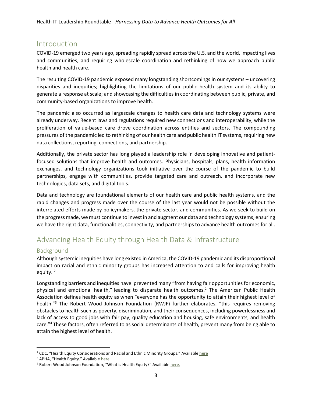# Introduction

COVID-19 emerged two years ago, spreading rapidly spread across the U.S. and the world, impacting lives and communities, and requiring wholescale coordination and rethinking of how we approach public health and health care.

The resulting COVID-19 pandemic exposed many longstanding shortcomings in our systems – uncovering disparities and inequities; highlighting the limitations of our public health system and its ability to generate a response at scale; and showcasing the difficulties in coordinating between public, private, and community-based organizations to improve health.

The pandemic also occurred as largescale changes to health care data and technology systems were already underway. Recent laws and regulations required new connections and interoperability, while the proliferation of value-based care drove coordination across entities and sectors. The compounding pressures of the pandemic led to rethinking of our health care and public health IT systems, requiring new data collections, reporting, connections, and partnership.

Additionally, the private sector has long played a leadership role in developing innovative and patientfocused solutions that improve health and outcomes. Physicians, hospitals, plans, health information exchanges, and technology organizations took initiative over the course of the pandemic to build partnerships, engage with communities, provide targeted care and outreach, and incorporate new technologies, data sets, and digital tools.

Data and technology are foundational elements of our health care and public health systems, and the rapid changes and progress made over the course of the last year would not be possible without the interrelated efforts made by policymakers, the private sector, and communities. As we seek to build on the progress made, we must continue to invest in and augment our data and technology systems, ensuring we have the right data, functionalities, connectivity, and partnerships to advance health outcomes for all.

# Advancing Health Equity through Health Data & Infrastructure

#### Background

Although systemic inequities have long existed in America, the COVID-19 pandemic and its disproportional impact on racial and ethnic minority groups has increased attention to and calls for improving health equity.<sup>2</sup>

<span id="page-3-0"></span>Longstanding barriers and inequities have prevented many "from having fair opportunities for economic, physical and emotional health," leading to disparate health outcomes.[2](#page-3-0) The American Public Health Association defines health equity as when "everyone has the opportunity to attain their highest level of health."<sup>3</sup> The Robert Wood Johnson Foundation (RWJF) further elaborates, "this requires removing obstacles to health such as poverty, discrimination, and their consequences, including powerlessness and lack of access to good jobs with fair pay, quality education and housing, safe environments, and health care."<sup>4</sup> These factors, often referred to as social determinants of health, prevent many from being able to attain the highest level of health.

<sup>&</sup>lt;sup>2</sup> CDC, "Health Equity Considerations and Racial and Ethnic Minority Groups." Availabl[e here](https://www.cdc.gov/coronavirus/2019-ncov/community/health-equity/race-ethnicity.html)

<sup>&</sup>lt;sup>3</sup> APHA, "Health Equity." Available [here.](https://www.apha.org/topics-and-issues/health-equity)

<sup>&</sup>lt;sup>4</sup> Robert Wood Johnson Foundation, "What is Health Equity?" Available [here.](https://www.rwjf.org/en/library/research/2017/05/what-is-health-equity-.html)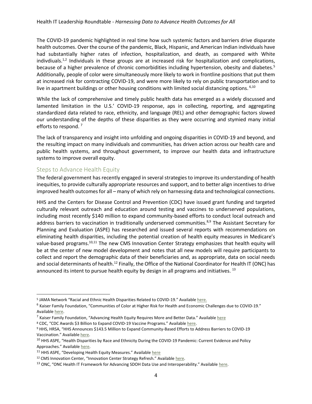The COVID-19 pandemic highlighted in real time how such systemic factors and barriers drive disparate health outcomes. Over the course of the pandemic, Black, Hispanic, and American Indian individuals have had substantially higher rates of infection, hospitalization, and death, as compared with White indivdiuals.<sup>[1,](https://jamanetwork.com/journals/jama/fullarticle/2775687#jvp200266r1)[2](https://jamanetwork.com/journals/jama/fullarticle/2775687#jvp200266r2)</sup> Individuals in these groups are at increased risk for hospitalization and complications, because of a higher prevalence of chronic comorbidities including hypertension, obesity and diabetes.<sup>5</sup> Additionally, people of color were simultaneously more likely to work in frontline positions that put them at increased risk for contracting COVID-19, and were more likely to rely on public transportation and to live in apartment buildings or other housing conditions with limited social distancing options.  $6,10$ 

While the lack of comprehensive and timely public health data has emerged as a widely discussed and lamented limitation in the U.S.' COVID-19 response, aps in collecting, reporting, and aggregating standardized data related to race, ethnicity, and language (REL) and other demographic factors slowed our understanding of the depths of these disparities as they were occurring and stymied many initial efforts to respond.<sup>7</sup>

<span id="page-4-1"></span>The lack of transparency and insight into unfolding and ongoing disparities in COVID-19 and beyond, and the resulting impact on many individuals and communities, has driven action across our health care and public health systems, and throughout government, to improve our health data and infrastructure systems to improve overall equity.

#### Steps to Advance Health Equity

The federal government has recently engaged in several strategies to improve its understanding of health inequities, to provide culturally appropriate resources and support, and to better align incentives to drive improved health outcomes for all – many of which rely on harnessing data and technological connections.

<span id="page-4-0"></span>HHS and the Centers for Disease Control and Prevention (CDC) have issued grant funding and targeted culturally relevant outreach and education around testing and vaccines to underserved populations, including most recently \$140 million to expand community-based efforts to conduct local outreach and address barriers to vaccination in traditionally underserved communities.<sup>8,9</sup> The Assistant Secretary for Planning and Evaluation (ASPE) has researched and issued several reports with recommendations on eliminating health disparities, including the potential creation of health equity measures in Medicare's value-based programs.10,11 The new CMS Innovation Center Strategy emphasizes that health equity will be at the center of new model development and notes that all new models will require participants to collect and report the demographic data of their beneficiaries and, as appropriate, data on social needs and social determinants of health.<sup>12</sup> Finally, the Office of the National Coordinator for Health IT (ONC) has announced its intent to pursue health equity by design in all programs and initiatives.  $^{13}$ 

<sup>&</sup>lt;sup>5</sup> JAMA Network "Racial and Ethnic Health Disparities Related to COVID-19." Available [here.](https://jamanetwork.com/journals/jama/fullarticle/2775687)

<sup>6</sup> Kaiser Family Foundation, "Communities of Color at Higher Risk for Health and Economic Challenges due to COVID-19." Availabl[e here.](https://www.kff.org/coronavirus-covid-19/issue-brief/communities-of-color-at-higher-risk-for-health-and-economic-challenges-due-to-covid-19/)

<sup>&</sup>lt;sup>7</sup> Kaiser Family Foundation, "Advancing Health Equity Requires More and Better Data." Available [here](https://www.kff.org/policy-watch/advancing-health-equity-requires-more-better-data/)

<sup>8</sup> CDC, "CDC Awards \$3 Billion to Expand COVID-19 Vaccine Programs." Available here.

<sup>9</sup> HHS, HRSA, "HHS Announces \$143.5 Million to Expand Community-Based Efforts to Address Barriers to COVID-19 Vaccination." Available [here.](https://www.hhs.gov/about/news/2021/11/10/hhs-announces-143-million-to-expand-community-based-covid-19-vaccination-efforts.html)

<sup>&</sup>lt;sup>10</sup> HHS ASPE, "Health Disparities by Race and Ethnicity During the COVID-19 Pandemic: Current Evidence and Policy Approaches." Available [here.](https://aspe.hhs.gov/sites/default/files/private/pdf/265206/covid-equity-issue-brief.pdf)

<sup>&</sup>lt;sup>11</sup> HHS ASPE, "Developing Health Equity Measures." Available [here](https://aspe.hhs.gov/reports/developing-health-equity-measures)

<sup>&</sup>lt;sup>12</sup> CMS Innovation Center, "Innovation Center Strategy Refresh." Available [here.](https://innovation.cms.gov/strategic-direction-whitepaper)

<sup>&</sup>lt;sup>13</sup> ONC, "ONC Health IT Framework for Advancing SDOH Data Use and Interoperability." Available here.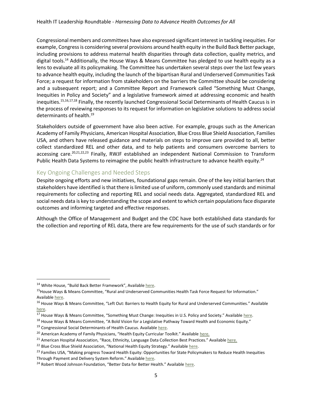Congressional members and committees have also expressed significant interest in tackling inequities. For example, Congress is considering several provisions around health equity in the Build Back Better package, including provisions to address maternal health disparities through data collection, quality metrics, and digital tools. <sup>14</sup> Additionally, the House Ways & Means Committee has pledged to use health equity as a lens to evaluate all its policymaking. The Committee has undertaken several steps over the last few years to advance health equity, including the launch of the bipartisan Rural and Underserved Communities Task Force; a request for information from stakeholders on the barriers the Committee should be considering and a subsequent report; and a Committee Report and Framework called "Something Must Change, Inequities in Policy and Society" and a legislative framework aimed at addressing economic and health inequities.15,16,17,18 Finally, the recently launched Congressional Social Determinants of Health Caucus is in the process of reviewing responses to its request for information on legislative solutions to address social determinants of health.<sup>19</sup>

Stakeholders outside of government have also been active. For example, groups such as the American Academy of Family Physicians, American Hospital Association, Blue Cross Blue Shield Association, Families USA, and others have released guidance and materials on steps to improve care provided to all, better collect standardized REL and other data, and to help patients and consumers overcome barriers to accessing care.<sup>20,21,22,23</sup> Finally, RWJF established an independent National Commission to Transform Public Health Data Systems to reimagine the public health infrastructure to advance health equity.<sup>24</sup>

#### Key Ongoing Challenges and Needed Steps

Despite ongoing efforts and new initiatives, foundational gaps remain. One of the key initial barriers that stakeholders have identified isthat there is limited use of uniform, commonly used standards and minimal requirements for collecting and reporting REL and social needs data. Aggregated, standardized REL and social needs data is key to understanding the scope and extent to which certain populations face disparate outcomes and informing targeted and effective responses.

Although the Office of Management and Budget and the CDC have both established data standards for the collection and reporting of REL data, there are few requirements for the use of such standards or for

<sup>&</sup>lt;sup>14</sup> White House, "Build Back Better Framework", Available [here.](https://www.whitehouse.gov/briefing-room/statements-releases/2021/10/28/build-back-better-framework/)

<sup>15</sup>House Ways & Means Committee, "Rural and Underserved Communities Health Task Force Request for Information." Availabl[e here.](https://waysandmeans.house.gov/rural-and-underserved-communities-health-task-force-request-information)

<sup>&</sup>lt;sup>16</sup> House Ways & Means Committee, "Left Out: Barriers to Health Equity for Rural and Underserved Communities." Available [here.](https://waysandmeans.house.gov/sites/democrats.waysandmeans.house.gov/files/documents/WMD%20Health%20Equity%20Report_07.2020_FINAL.pdf) 

 $\overline{^{17}}$  House Ways & Means Committee, "Something Must Change: Inequities in U.S. Policy and Society." Available [here.](https://waysandmeans.house.gov/sites/democrats.waysandmeans.house.gov/files/documents/WMD%20Health%20and%20Economic%20Equity%20Vision_REPORT.pdf)

<sup>&</sup>lt;sup>18</sup> House Ways & Means Committee, "A Bold Vision for a Legislative Pathway Toward Health and Economic Equity."

<sup>&</sup>lt;sup>19</sup> Congressional Social Determinants of Health Caucus. Available here.

<sup>&</sup>lt;sup>20</sup> American Academy of Family Physicians, "Health Equity Curricular Toolkit." Available [here.](https://www.aafp.org/family-physician/patient-care/the-everyone-project/health-equity-tools.html)

<sup>&</sup>lt;sup>21</sup> American Hospital Association, "Race, Ethnicity, Language Data Collection Best Practices." Available [here.](http://forces4quality.org/af4q/download-document/6011/Resource-validated_final_rel_data_collection_best_practice_guidelines_updated_11-28.pdf)

<sup>&</sup>lt;sup>22</sup> Blue Cross Blue Shield Association, "National Health Equity Strategy." Available [here.](https://www.bcbs.com/the-health-of-america/healthequity/strategy)

<sup>&</sup>lt;sup>23</sup> Families USA, "Making progress Toward Health Equity: Opportunities for State Policymakers to Reduce Health Inequities Through Payment and Delivery System Reform." Available [here.](https://familiesusa.org/resources/making-progress-toward-health-equity-opportunities-for-state-policymakers-to-address-health-disparities-through-payment-and-delivery-system-reform/)

<sup>&</sup>lt;sup>24</sup> Robert Wood Johnson Foundation, "Better Data for Better Health." Available [here.](https://www.rwjf.org/en/library/collections/better-data-for-better-health.html)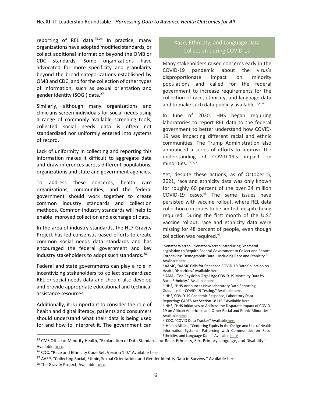reporting of REL data. $25,26$  In practice, many organizations have adopted modified standards, or collect additional information beyond the OMB or CDC standards. Some organizations have advocated for more specificity and granularity beyond the broad categorizations established by OMB and CDC, and for the collection of other types of information, such as sexual orientation and gender identity (SOGI) data.<sup>27</sup>

Similarly, although many organizations and clinicians screen individuals for social needs using a range of commonly available screening tools, collected social needs data is often not standardized nor uniformly entered into systems of record.

Lack of uniformity in collecting and reporting this information makes it difficult to aggregate data and draw inferences across different populations, organizations and state and government agencies.

To address these concerns, health care organizations, communities, and the federal government should work together to create common industry standards and collection methods. Common industry standards will help to enable improved collection and exchange of data.

In the area of industry standards, the HL7 Gravity Project has led consensus-based efforts to create common social needs data standards and has encouraged the federal government and key industry stakeholders to adopt such standards.<sup>28</sup>

Federal and state governments can play a role in incentivizing stakeholders to collect standardized REL or social needs data and should also develop and provide appropriate educational and technical assistance resources.

Additionally, it is important to consider the role of health and digital literacy; patients and consumers should understand what their data is being used for and how to interpret it. The government can

# Race, Ethnicity, and Language Data

Many stakeholders raised concerns early in the COVID-19 pandemic about the virus's disproportionate impact on minority populations and called for the federal government to increase requirements for the collection of race, ethnicity, and language data and to make such data publicly available. *i,ii,iii* 

In June of 2020, HHS began requiring laboratories to report REL data to the federal government to better understand how COVID-19 was impacting different racial and ethnic communities. The Trump Administration also announced a series of efforts to improve the understanding of COVID-19's impact on minorities. iv, v, vi

Yet, despite these actions, as of October 5, 2021, race and ethnicity data was only known for roughly 60 percent of the over 34 million COVID-19 cases.<sup>vii</sup> The same issues have persisted with vaccine rollout, where REL data collection continues to be limited, despite being required. During the first month of the U.S.' vaccine rollout, race and ethnicity data were missing for 48 percent of people, even though collection was required.<sup>vii</sup>

<sup>i</sup> Senator Warren, "Senator Warren Introducing Bicameral Legislation to Require Federal Government to Collect and Report Coronavirus Demographic Data – Including Race and Ethnicity." Availabl[e here](https://www.warren.senate.gov/newsroom/press-releases/senator-warren-introducing-bicameral-legislation-to-require-federal-government-to-collect-and-report-coronavirus-demographic-data_--including-race-and-ethnicity)

- ii AAMC, "AAMC Calls for Enhanced COVID-19 Data Collection on Health Disparities.' Availabl[e here](https://www.aamc.org/news-insights/press-releases/aamc-calls-enhanced-covid-19-data-collection-health-disparities)
- iii AMA, "Top Physician Orgs Urge COVID-19 Mortality Data by Race, Ethnicity." Available [here](https://www.ama-assn.org/press-center/press-releases/top-physician-orgs-urge-covid-19-mortality-data-race-ethnicity)
- iv HHS, "HHS Announces New Laboratory Data Reporting Guidance for COVID-19 Testing." Available [here.](https://www.cdc.gov/media/releases/2020/p0604-new-lab-data-reporting.html)

vi HHS, COVID-19 Pandemic Response, Laboratory Data

- Reporting: CARES Act Section 18115." Available [here.](https://www.hhs.gov/sites/default/files/covid-19-laboratory-data-reporting-guidance.pdf)
- vi HHS, "HHS Initiatives to Address the Disparate Impact of COVID-19 on African Americans and Other Racial and Ethnic Minorities." Availabl[e here.](https://www.hhs.gov/sites/default/files/hhs-fact-sheet-addressing-disparities-in-covid-19-impact-on-minorities.pdf)

vii [CDC, "COVID Data Tracker" Available](https://covid.cdc.gov/covid-data-tracker/#demographics) here

vii Health Affairs, "Centering Equity in the Design and Use of Health Information Systems: Patterning with Communities on Race, Ethnicity, and Language Data." Available here

<sup>&</sup>lt;sup>25</sup> CMS Office of Minority Health, "Explanation of Data Standards for Race, Ethnicity, Sex, Primary Lang[uage, a](https://www.healthaffairs.org/do/10.1377/hblog20210514.126700/full/)nd Disability." Availabl[e here.](https://minorityhealth.hhs.gov/omh/browse.aspx?lvl=3&lvlid=54)

<sup>&</sup>lt;sup>26</sup> CDC, "Race and Ethnicity Code Set, Version 1.0." Available [here.](https://www.cdc.gov/phin/resources/vocabulary/documents/cdc-race--ethnicity-background-and-purpose.pdf)

<sup>&</sup>lt;sup>27</sup> AAFP, "Collecting Racial, Ethnic, Sexual Orientation, and Gender Identity Data in Surveys." Available [here](https://www.aafp.org/about/policies/all/collecting-racial-ethnic-sexual-orientation-gender-identity-data-surveys.html)

<sup>&</sup>lt;sup>28</sup> The Gravity Project, Availabl[e here.](https://www.hl7.org/gravity/)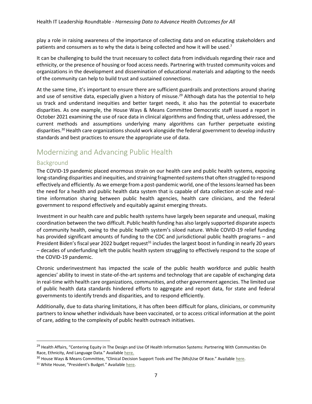play a role in raising awareness of the importance of collecting data and on educating stakeholders and patients and consumers as to why the data is being collected and how it will be used.<sup>[7](#page-4-1)</sup>

It can be challenging to build the trust necessary to collect data from individuals regarding their race and ethnicity, or the presence of housing or food access needs. Partnering with trusted community voices and organizations in the development and dissemination of educational materials and adapting to the needs of the community can help to build trust and sustained connections.

At the same time, it's important to ensure there are sufficient guardrails and protections around sharing and use of sensitive data, especially given a history of misuse.<sup>29</sup> Although data has the potential to help us track and understand inequities and better target needs, it also has the potential to exacerbate disparities. As one example, the House Ways & Means Committee Democratic staff issued a report in October 2021 examining the use of race data in clinical algorithms and finding that, unless addressed, the current methods and assumptions underlying many algorithms can further perpetuate existing disparities.<sup>30</sup> Health care organizations should work alongside the federal government to develop industry standards and best practices to ensure the appropriate use of data.

# Modernizing and Advancing Public Health

#### Background

The COVID-19 pandemic placed enormous strain on our health care and public health systems, exposing long-standing disparities and inequities, and straining fragmented systemsthat often struggled to respond effectively and efficiently. As we emerge from a post-pandemic world, one of the lessons learned has been the need for a health and public health data system that is capable of data collection at-scale and realtime information sharing between public health agencies, health care clinicians, and the federal government to respond effectively and equitably against emerging threats.

Investment in our health care and public health systems have largely been separate and unequal, making coordination between the two difficult. Public health funding has also largely supported disparate aspects of community health, owing to the public health system's siloed nature. While COVID-19 relief funding has provided significant amounts of funding to the CDC and jurisdictional public health programs – and President Biden's fiscal year 2022 budget request<sup>31</sup> includes the largest boost in funding in nearly 20 years – decades of underfunding left the public health system struggling to effectively respond to the scope of the COVID-19 pandemic.

Chronic underinvestment has impacted the scale of the public health workforce and public health agencies' ability to invest in state-of-the-art systems and technology that are capable of exchanging data in real-time with health care organizations, communities, and other government agencies. The limited use of public health data standards hindered efforts to aggregate and report data, for state and federal governments to identify trends and disparities, and to respond efficiently.

Additionally, due to data sharing limitations, it has often been difficult for plans, clinicians, or community partners to know whether individuals have been vaccinated, or to access critical information at the point of care, adding to the complexity of public health outreach initiatives.

<sup>&</sup>lt;sup>29</sup> Health Affairs, "Centering Equity in The Design and Use Of Health Information Systems: Partnering With Communities On Race, Ethnicity, And Language Data." Available [here.](https://www.healthaffairs.org/do/10.1377/hblog20210514.126700/full/)

<sup>&</sup>lt;sup>30</sup> House Ways & Means Committee, "Clinical Decision Support Tools and The (Mis)Use Of Race." Available [here.](https://waysandmeans.house.gov/sites/democrats.waysandmeans.house.gov/files/documents/Fact%20Versus%20Fiction%20Clinical%20Decision%20Support%20Tools%20and%20the%20(Mis)Use%20of%20Race%20(2).pdf)

<sup>31</sup> White House, "President's Budget." Available here.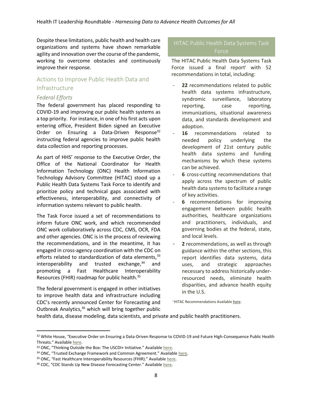Despite these limitations, public health and health care organizations and systems have shown remarkable agility and innovation over the course of the pandemic, working to overcome obstacles and continuously improve their response.

## Actions to Improve Public Health Data and Infrastructure

#### *Federal Efforts*

The federal government has placed responding to COVID-19 and improving our public health systems as a top priority. For instance, in one of his first acts upon entering office, President Biden signed an Executive Order on Ensuring a Data-Driven Response<sup>32</sup> instructing federal agencies to improve public health data collection and reporting processes.

As part of HHS' response to the Executive Order, the Office of the National Coordinator for Health Information Technology (ONC) Health Information Technology Advisory Committee (HITAC) stood up a Public Health Data Systems Task Force to identify and prioritize policy and technical gaps associated with effectiveness, interoperability, and connectivity of information systems relevant to public health.

The Task Force issued a set of recommendations to inform future ONC work, and which recommended ONC work collaboratively across CDC, CMS, OCR, FDA and other agencies. ONC is in the process of reviewing the recommendations, and in the meantime, it has engaged in cross-agency coordination with the CDC on efforts related to standardization of data elements,  $33$ interoperability and trusted exchange, $34$  and promoting a Fast Healthcare Interoperability Resources (FHIR) roadmap for public health.<sup>35</sup>

The federal government is engaged in other initiatives to improve health data and infrastructure including CDC's recently announced Center for Forecasting and Outbreak Analytics,<sup>36</sup> which will bring together public

# Force

The HITAC Public Health Data Systems Task Force issued a final report with 52 recommendations in total, including:

- 22 recommendations related to public health data systems infrastructure, syndromic surveillance, laboratory reporting, case reporting, immunizations, situational awareness data, and standards development and adoption.
- 16 recommendations related to needed policy underlying the development of 21st century public health data systems and funding mechanisms by which these systems can be achieved.
- **6** cross-cutting recommendations that apply across the spectrum of public health data systems to facilitate a range of key activities.
- 6 recommendations for improving engagement between public health authorities, healthcare organizations and practitioners, individuals, and governing bodies at the federal, state, and local levels.
- 2 recommendations, as well as through guidance within the other sections, this report identifies data systems, data uses, and strategic approaches necessary to address historically underresourced needs, eliminate health disparities, and advance health equity in the U.S.

<sup>1</sup> HITAC Recommendations Availabl[e here.](file:///C:/Users/ajbel/AppData/Local/Microsoft/Windows/INetCache/Content.Outlook/3A7875FK/i%20Senator%20Warren,)

health data, disease modeling, data scientists, and private and public health practitioners.

<sup>32</sup> White House, "Executive Order on Ensuring a Data-Driven Response to COVID-19 and Future High-Consequence Public Health Threats." Available [here.](https://www.whitehouse.gov/briefing-room/presidential-actions/2021/01/21/executive-order-ensuring-a-data-driven-response-to-covid-19-and-future-high-consequence-public-health-threats/)

<sup>33</sup> ONC, "Thinking Outside the Box: The USCDI+ Initiative." Available here.

<sup>34</sup> ONC, "Trusted Exchange Framework and Common Agreement." Available here.

<sup>35</sup> ONC, "Fast Healthcare Interoperability Resources (FHIR)." Available here.

<sup>36</sup> CDC, "CDC Stands Up New Disease Forecasting Center." Available here.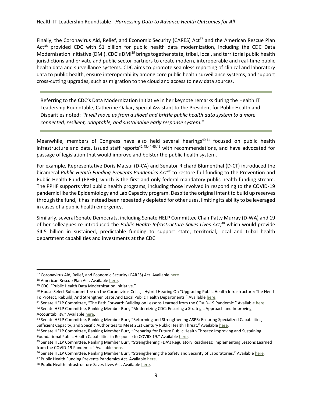Finally, the Coronavirus Aid, Relief, and Economic Security (CARES) Act<sup>37</sup> and the American Rescue Plan Act<sup>38</sup> provided CDC with \$1 billion for public health data modernization, including the CDC Data Modernization Initiative (DMI). CDC's DMI<sup>39</sup> brings together state, tribal, local, and territorial public health jurisdictions and private and public sector partners to create modern, interoperable and real-time public health data and surveillance systems. CDC aims to promote seamless reporting of clinical and laboratory data to public health, ensure interoperability among core public health surveillance systems, and support cross-cutting upgrades, such as migration to the cloud and access to new data sources.

Referring to the CDC's Data Modernization Initiative in her keynote remarks during the Health IT Leadership Roundtable, Catherine Oakar, Special Assistant to the President for Public Health and Disparities noted: *"It will move us from a siloed and brittle public health data system to a more connected, resilient, adaptable, and sustainable early response system."*

Meanwhile, members of Congress have also held several hearings $40,41$  focused on public health infrastructure and data, issued staff reports $42,43,44,45,46$  with recommendations, and have advocated for passage of legislation that would improve and bolster the public health system.

For example, Representative Doris Matsui (D-CA) and Senator Richard Blumenthal (D-CT) introduced the bicameral *Public Health Funding Prevents Pandemics Act<sup>47</sup>* to restore full funding to the Prevention and Public Health Fund (PPHF), which is the first and only federal mandatory public health funding stream. The PPHF supports vital public health programs, including those involved in responding to the COVID-19 pandemic like the Epidemiology and Lab Capacity program. Despite the original intent to build up reserves through the fund, it has instead been repeatedly depleted for other uses, limiting its ability to be leveraged in cases of a public health emergency.

Similarly, several Senate Democrats, including Senate HELP Committee Chair Patty Murray (D-WA) and 19 of her colleagues re-introduced the *Public Health Infrastructure Saves Lives Act,* <sup>48</sup> which would provide \$4.5 billion in sustained, predictable funding to support state, territorial, local and tribal health department capabilities and investments at the CDC.

47 Public Health Funding Prevents Pandemics Act. Available [here.](https://www.congress.gov/117/bills/hr1583/BILLS-117hr1583ih.pdf)

<sup>&</sup>lt;sup>37</sup> Coronavirus Aid, Relief, and Economic Security (CARES) Act. Available here.

<sup>38</sup> American Rescue Plan Act. Availabl[e here.](https://www.congress.gov/117/plaws/publ2/PLAW-117publ2.pdf) 

<sup>39</sup> CDC, "Public Health Data Modernization Initiative."

<sup>40</sup> House Select Subcommittee on the Coronavirus Crisis, "Hybrid Hearing On "Upgrading Public Health Infrastructure: The Need To Protect, Rebuild, And Strengthen State And Local Public Health Departments." Available here.

<sup>41</sup> Senate HELP Committee, "The Path Forward: Building on Lessons Learned from the COVID-19 Pandemic." Available [here.](https://www.help.senate.gov/hearings/the-path-forward-building-on-lessons-learned-from-the-covid-19-pandemic)

<sup>42</sup> Senate HELP Committee, Ranking Member Burr, "Modernizing CDC: Ensuring a Strategic Approach and Improving Accountability." Available [here.](https://www.help.senate.gov/imo/media/doc/Modernizing%20CDC%20-%20Ensuring%20a%20Strategic%20Approach%20and%20Improving%20Accountablity.pdf) 

<sup>43</sup> Senate HELP Committee, Ranking Member Burr, "Reforming and Strengthening ASPR: Ensuring Specialized Capabilities, Sufficient Capacity, and Specific Authorities to Meet 21st Century Public Health Threat." Available [here.](https://www.help.senate.gov/imo/media/doc/2021.06.24%20Burr%20Policy%20Brief%20-%20Reforming%20and%20Strengthening%20ASPR.pdf)

<sup>44</sup> Senate HELP Committee, Ranking Member Burr, "Preparing for Future Public Health Threats: Improving and Sustaining Foundational Public Health Capabilities in Response to COVID-19." Available [here.](https://www.help.senate.gov/imo/media/doc/2021.07.28%20Burr%20Policy%20Brief%20-%20Preparing%20for%20Future%20Public%20Health%20Threats%20-%20Improving%20and%20Sustaining%20Foundational%20Public%20Health%20Capabilities%20in%20Response%20to%20COVID-19.pdf)

<sup>45</sup> Senate HELP Committee, Ranking Member Burr, "Strengthening FDA's Regulatory Readiness: Implementing Lessons Learned from the COVID-19 Pandemic." Available [here.](https://www.help.senate.gov/imo/media/doc/Burr%20Policy%20Brief%20-%20Strengthening%20FDA)

<sup>46</sup> Senate HELP Committee, Ranking Member Burr, "Strengthening the Safety and Security of Laboratories." Available here.

<sup>48</sup> Public Health Infrastructure Saves Lives Act. Availabl[e here.](https://www.congress.gov/117/bills/s674/BILLS-117s674is.pdf)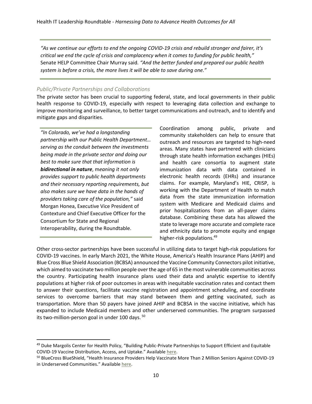*"As we continue our efforts to end the ongoing COVID-19 crisis and rebuild stronger and fairer, it's critical we end the cycle of crisis and complacency when it comes to funding for public health,"*  Senate HELP Committee Chair Murray said*. "And the better funded and prepared our public health system is before a crisis, the more lives it will be able to save during one."*

#### *Public/Private Partnerships and Collaborations*

The private sector has been crucial to supporting federal, state, and local governments in their public health response to COVID-19, especially with respect to leveraging data collection and exchange to improve monitoring and surveillance, to better target communications and outreach, and to identify and mitigate gaps and disparities.

*"In Colorado, we've had a longstanding partnership with our Public Health Department… serving as the conduit between the investments being made in the private sector and doing our best to make sure that that information is bidirectional in nature*, m*eaning it not only provides support to public health departments and their necessary reporting requirements, but also makes sure we have data in the hands of providers taking care of the population,"* said Morgan Honea, Executive Vice President of Contexture and Chief Executive Officer for the Consortium for State and Regional Interoperability, during the Roundtable.

Coordination among public, private and community stakeholders can help to ensure that outreach and resources are targeted to high-need areas. Many states have partnered with clinicians through state health information exchanges (HIEs) and health care consortia to augment state immunization data with data contained in electronic health records (EHRs) and insurance claims. For example, Maryland's HIE, CRISP, is working with the Department of Health to match data from the state immunization information system with Medicare and Medicaid claims and prior hospitalizations from an all-payer claims database. Combining these data has allowed the state to leverage more accurate and complete race and ethnicity data to promote equity and engage higher-risk populations.<sup>49</sup>

Other cross-sector partnerships have been successful in utilizing data to target high-risk populations for COVID-19 vaccines. In early March 2021, the White House, America's Health Insurance Plans (AHIP) and Blue Cross Blue Shield Association (BCBSA) announced the Vaccine Community Connectors pilot initiative, which aimed to vaccinate two million people over the age of 65 in the most vulnerable communities across the country. Participating health insurance plans used their data and analytic expertise to identify populations at higher risk of poor outcomes in areas with inequitable vaccination rates and contact them to answer their questions, facilitate vaccine registration and appointment scheduling, and coordinate services to overcome barriers that may stand between them and getting vaccinated, such as transportation. More than 50 payers have joined AHIP and BCBSA in the vaccine initiative, which has expanded to include Medicaid members and other underserved communities. The program surpassed its two-million-person goal in under 100 days.<sup>50</sup>

<sup>&</sup>lt;sup>49</sup> Duke Margolis Center for Health Policy, "Building Public-Private Partnerships to Support Efficient and Equitable COVID-19 Vaccine Distribution, Access, and Uptake." Available [here.](https://healthpolicy.duke.edu/sites/default/files/2021-04/Duke-Margolis_Public-Private-Partnership_Final.pdf)

<sup>&</sup>lt;sup>50</sup> BlueCross BlueShield, "Health Insurance Providers Help Vaccinate More Than 2 Million Seniors Against COVID-19 in Underserved Communities." Available here.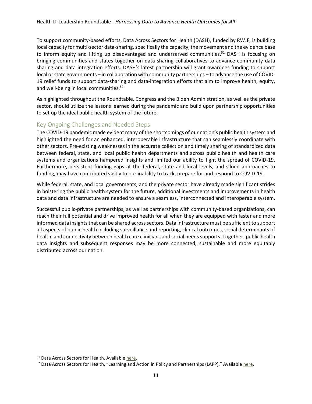To support community-based efforts, Data Across Sectors for Health (DASH), funded by RWJF, is building local capacity for multi-sector data-sharing, specifically the capacity, the movement and the evidence base to inform equity and lifting up disadvantaged and underserved communities.<sup>51</sup> DASH is focusing on bringing communities and states together on data sharing collaboratives to advance community data sharing and data integration efforts. DASH's latest partnership will grant awardees funding to support local or state governments – in collaboration with community partnerships – to advance the use of COVID-19 relief funds to support data-sharing and data-integration efforts that aim to improve health, equity, and well-being in local communities. 52

As highlighted throughout the Roundtable, Congress and the Biden Administration, as well as the private sector, should utilize the lessons learned during the pandemic and build upon partnership opportunities to set up the ideal public health system of the future.

#### Key Ongoing Challenges and Needed Steps

The COVID-19 pandemic made evident many of the shortcomings of our nation's public health system and highlighted the need for an enhanced, interoperable infrastructure that can seamlessly coordinate with other sectors. Pre-existing weaknesses in the accurate collection and timely sharing of standardized data between federal, state, and local public health departments and across public health and health care systems and organizations hampered insights and limited our ability to fight the spread of COVID-19. Furthermore, persistent funding gaps at the federal, state and local levels, and siloed approaches to funding, may have contributed vastly to our inability to track, prepare for and respond to COVID-19.

While federal, state, and local governments, and the private sector have already made significant strides in bolstering the public health system for the future, additional investments and improvements in health data and data infrastructure are needed to ensure a seamless, interconnected and interoperable system.

Successful public-private partnerships, as well as partnerships with community-based organizations, can reach their full potential and drive improved health for all when they are equipped with faster and more informed data insights that can be shared across sectors. Data infrastructure must be sufficient to support all aspects of public health including surveillance and reporting, clinical outcomes, social determinants of health, and connectivity between health care clinicians and social needs supports. Together, public health data insights and subsequent responses may be more connected, sustainable and more equitably distributed across our nation.

<sup>&</sup>lt;sup>51</sup> Data Across Sectors for Health. Available [here.](https://dashconnect.org/funding-opportunities/lapp/)

<sup>52</sup> Data Across Sectors for Health, "Learning and Action in Policy and Partnerships (LAPP)." Available here.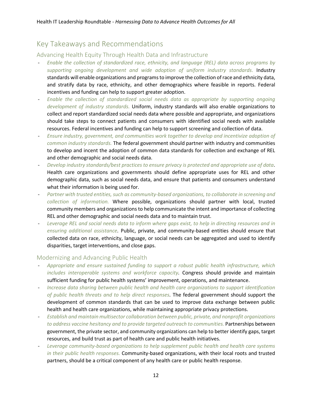# Key Takeaways and Recommendations

#### Advancing Health Equity Through Health Data and Infrastructure

- *Enable the collection of standardized race, ethnicity, and language (REL) data across programs by supporting ongoing development and wide adoption of uniform industry standards*. Industry standards will enable organizations and programsto improve the collection of race and ethnicity data, and stratify data by race, ethnicity, and other demographics where feasible in reports. Federal incentives and funding can help to support greater adoption.
- *Enable the collection of standardized social needs data as appropriate by supporting ongoing development of industry standards.* Uniform, industry standards will also enable organizations to collect and report standardized social needs data where possible and appropriate, and organizations should take steps to connect patients and consumers with identified social needs with available resources. Federal incentives and funding can help to support screening and collection of data.
- *Ensure industry, government, and communities work together to develop and incentivize adoption of common industry standards.* The federal government should partner with industry and communities to develop and incent the adoption of common data standards for collection and exchange of REL and other demographic and social needs data.
- *Develop industry standards/best practices to ensure privacy is protected and appropriate use of data*. Health care organizations and governments should define appropriate uses for REL and other demographic data, such as social needs data, and ensure that patients and consumers understand what their information is being used for.
- *Partner with trusted entities, such as community-based organizations, to collaborate in screening and collection of information.* Where possible, organizations should partner with local, trusted community members and organizations to help communicate the intent and importance of collecting REL and other demographic and social needs data and to maintain trust.
- *Leverage REL and social needs data to inform where gaps exist, to help in directing resources and in ensuring additional assistance.* Public, private, and community-based entities should ensure that collected data on race, ethnicity, language, or social needs can be aggregated and used to identify disparities, target interventions, and close gaps.

#### Modernizing and Advancing Public Health

- *Appropriate and ensure sustained funding to support a robust public health infrastructure, which includes interoperable systems and workforce capacity.* Congress should provide and maintain sufficient funding for public health systems' improvement, operations, and maintenance.
- *Increase data sharing between public health and health care organizations to support identification of public health threats and to help direct responses.* The federal government should support the development of common standards that can be used to improve data exchange between public health and health care organizations, while maintaining appropriate privacy protections.
- *Establish and maintain multisector collaboration between public, private, and nonprofit organizations to address vaccine hesitancy and to provide targeted outreach to communities.* Partnerships between government, the private sector, and community organizations can help to better identify gaps, target resources, and build trust as part of health care and public health initiatives.
- *Leverage community-based organizations to help supplement public health and health care systems in their public health responses.* Community-based organizations, with their local roots and trusted partners, should be a critical component of any health care or public health response.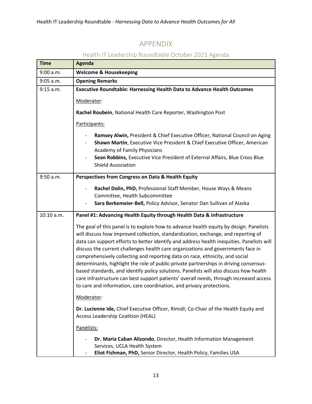# APPENDIX

| <b>Time</b> | <b>Agenda</b>                                                                                                                                                                                                                                                                                                                                                                                                                                                                                                                                                                                                                                                                                                                                                                                     |
|-------------|---------------------------------------------------------------------------------------------------------------------------------------------------------------------------------------------------------------------------------------------------------------------------------------------------------------------------------------------------------------------------------------------------------------------------------------------------------------------------------------------------------------------------------------------------------------------------------------------------------------------------------------------------------------------------------------------------------------------------------------------------------------------------------------------------|
| 9:00 a.m.   | <b>Welcome &amp; Housekeeping</b>                                                                                                                                                                                                                                                                                                                                                                                                                                                                                                                                                                                                                                                                                                                                                                 |
| $9:05$ a.m. | <b>Opening Remarks</b>                                                                                                                                                                                                                                                                                                                                                                                                                                                                                                                                                                                                                                                                                                                                                                            |
| 9:15 a.m.   | Executive Roundtable: Harnessing Health Data to Advance Health Outcomes                                                                                                                                                                                                                                                                                                                                                                                                                                                                                                                                                                                                                                                                                                                           |
|             | Moderator:                                                                                                                                                                                                                                                                                                                                                                                                                                                                                                                                                                                                                                                                                                                                                                                        |
|             | Rachel Roubein, National Health Care Reporter, Washington Post                                                                                                                                                                                                                                                                                                                                                                                                                                                                                                                                                                                                                                                                                                                                    |
|             | Participants:                                                                                                                                                                                                                                                                                                                                                                                                                                                                                                                                                                                                                                                                                                                                                                                     |
|             | Ramsey Alwin, President & Chief Executive Officer, National Council on Aging<br>Shawn Martin, Executive Vice President & Chief Executive Officer, American<br>Academy of Family Physicians<br>Sean Robbins, Executive Vice President of External Affairs, Blue Cross Blue                                                                                                                                                                                                                                                                                                                                                                                                                                                                                                                         |
|             | <b>Shield Association</b>                                                                                                                                                                                                                                                                                                                                                                                                                                                                                                                                                                                                                                                                                                                                                                         |
| 9:50 a.m.   | Perspectives from Congress on Data & Health Equity                                                                                                                                                                                                                                                                                                                                                                                                                                                                                                                                                                                                                                                                                                                                                |
|             | Rachel Dolin, PhD, Professional Staff Member, House Ways & Means<br>Committee, Health Subcommittee<br>Sara Berkemeier-Bell, Policy Advisor, Senator Dan Sullivan of Alaska                                                                                                                                                                                                                                                                                                                                                                                                                                                                                                                                                                                                                        |
| 10:10 a.m.  | Panel #1: Advancing Health Equity through Health Data & Infrastructure                                                                                                                                                                                                                                                                                                                                                                                                                                                                                                                                                                                                                                                                                                                            |
|             | The goal of this panel is to explore how to advance health equity by design. Panelists<br>will discuss how improved collection, standardization, exchange, and reporting of<br>data can support efforts to better identify and address health inequities. Panelists will<br>discuss the current challenges health care organizations and governments face in<br>comprehensively collecting and reporting data on race, ethnicity, and social<br>determinants, highlight the role of public-private partnerships in driving consensus-<br>based standards, and identify policy solutions. Panelists will also discuss how health<br>care infrastructure can best support patients' overall needs, through increased access<br>to care and information, care coordination, and privacy protections. |
|             | Moderator:                                                                                                                                                                                                                                                                                                                                                                                                                                                                                                                                                                                                                                                                                                                                                                                        |
|             | Dr. Lucienne Ide, Chief Executive Officer, Rimidi; Co-Chair of the Health Equity and<br>Access Leadership Coalition (HEAL)                                                                                                                                                                                                                                                                                                                                                                                                                                                                                                                                                                                                                                                                        |
|             | Panelists:                                                                                                                                                                                                                                                                                                                                                                                                                                                                                                                                                                                                                                                                                                                                                                                        |
|             | Dr. Maria Caban Alizondo, Director, Health Information Management<br>Services, UCLA Health System<br>Eliot Fishman, PhD, Senior Director, Health Policy, Families USA                                                                                                                                                                                                                                                                                                                                                                                                                                                                                                                                                                                                                             |

# Health IT Leadership Roundtable October 2021 Agenda